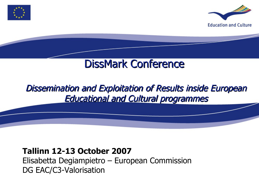



# DissMark Conference

# Dissemination and Exploitation of Results inside European Educational and Cultural programmes

### **Tallinn 12-13 October 2007**

Elisabetta Degiampietro – European Commission DG EAC/C3-Valorisation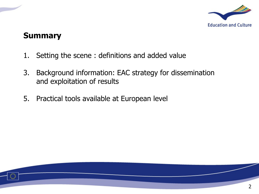

### **Summary**

- 1. Setting the scene : definitions and added value
- 3. Background information: EAC strategy for dissemination and exploitation of results
- 5. Practical tools available at European level

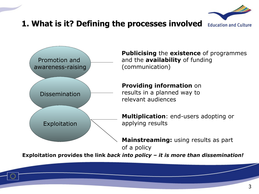

### **1. What is it? Defining the processes involved**



**Publicising** the **existence** of programmes and the **availability** of funding (communication)

**Providing information** on results in a planned way to relevant audiences

**Multiplication**: end-users adopting or applying results

**Mainstreaming:** using results as part of a policy

**Exploitation provides the link** *back into policy – it is more than dissemination!*

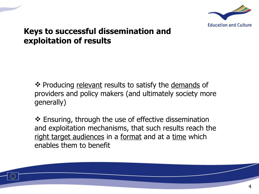

### **Keys to successful dissemination and exploitation of results**

❖ Producing relevant results to satisfy the demands of providers and policy makers (and ultimately society more generally)

 Ensuring, through the use of effective dissemination and exploitation mechanisms, that such results reach the right target audiences in a format and at a time which enables them to benefit

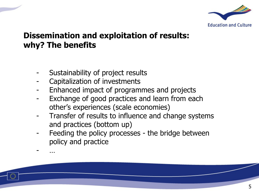

### **Dissemination and exploitation of results: why? The benefits**

- Sustainability of project results
- Capitalization of investments
- Enhanced impact of programmes and projects
- Exchange of good practices and learn from each other's experiences (scale economies)
- Transfer of results to influence and change systems and practices (bottom up)
- Feeding the policy processes the bridge between policy and practice



- …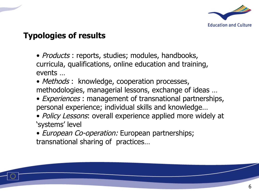

### **Typologies of results**

- *Products*: reports, studies; modules, handbooks, curricula, qualifications, online education and training, events …
- Methods : knowledge, cooperation processes, methodologies, managerial lessons, exchange of ideas …
- *Experiences*: management of transnational partnerships, personal experience; individual skills and knowledge…
- Policy Lessons: overall experience applied more widely at 'systems' level
- *European Co-operation:* European partnerships; transnational sharing of practices…

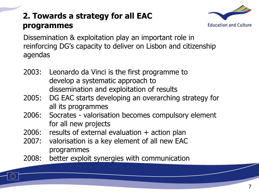# **2. Towards a strategy for all EAC programmes**



Dissemination & exploitation play an important role in reinforcing DG's capacity to deliver on Lisbon and citizenship agendas

- 2003: Leonardo da Vinci is the first programme to develop a systematic approach to dissemination and exploitation of results
- 2005: DG EAC starts developing an overarching strategy for all its programmes
- 2006: Socrates valorisation becomes compulsory element for all new projects
- 2006: results of external evaluation + action plan
- 2007: valorisation is a key element of all new EAC programmes
- 2008: better exploit synergies with communication

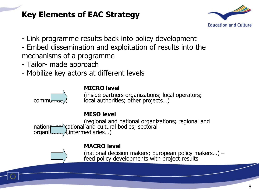## **Key Elements of EAC Strategy**



- Link programme results back into policy development
- Embed dissemination and exploitation of results into the mechanisms of a programme
- Tailor- made approach
- Mobilize key actors at different levels



#### **MICRO level**

(inside partners organizations; local operators;  $commumum$  $\langle$ , local authorities; other projects...)

#### **MESO level**

(regional and national organizations; regional and national educational and cultural bodies; sectoral  $organiz_{\text{error}}\hat{\mathcal{S}}$ , intermediaries...)



#### **MACRO level**

(national decision makers; European policy makers…) – feed policy developments with project results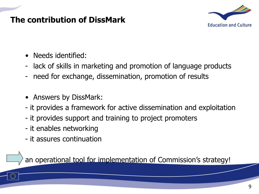### **The contribution of DissMark**



- Needs identified:
- lack of skills in marketing and promotion of language products
- need for exchange, dissemination, promotion of results
- Answers by DissMark:
- it provides a framework for active dissemination and exploitation
- it provides support and training to project promoters
- it enables networking
- it assures continuation

an operational tool for implementation of Commission's strategy!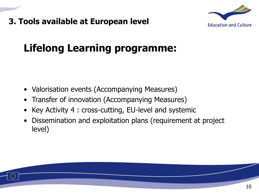### **3. Tools available at European level**



# **Lifelong Learning programme:**

- Valorisation events (Accompanying Measures)
- Transfer of innovation (Accompanying Measures)
- Key Activity 4 : cross-cutting, EU-level and systemic
- Dissemination and exploitation plans (requirement at project level)

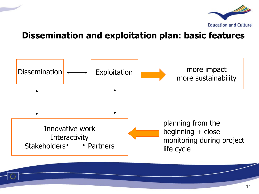

### **Dissemination and exploitation plan: basic features**



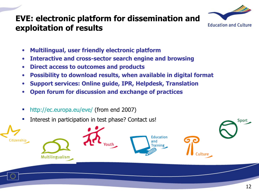### **EVE: electronic platform for dissemination and exploitation of results**



- **Multilingual, user friendly electronic platform**
- **Interactive and cross-sector search engine and browsing**
- **Direct access to outcomes and products**
- **Possibility to download results, when available in digital format**
- **Support services: Online guide, IPR, Helpdesk, Translation**
- **Open forum for discussion and exchange of practices**
- <http://ec.europa.eu/eve/>(from end 2007)
- Interest in participation in test phase? Contact us!



Sport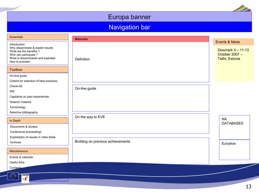### Europa banner

### Navigation bar

| <b>Essentials</b>                                                                                                          | Welcome                           |                                                          |
|----------------------------------------------------------------------------------------------------------------------------|-----------------------------------|----------------------------------------------------------|
| Introduction                                                                                                               |                                   | <b>Events &amp; News</b>                                 |
| Why disseminate & exploit results<br>What are the benefits?<br>Who can participate ?<br>What is disseminated and exploited |                                   | Dissmark II - 11-13<br>October 2007 -<br>Tallin, Estonia |
| How to proceed                                                                                                             | Definition                        |                                                          |
| <b>Toolbox</b>                                                                                                             |                                   |                                                          |
| On-line guide                                                                                                              |                                   |                                                          |
| Criteria for selection of best practices<br>Check-list                                                                     |                                   |                                                          |
| <b>IPR</b>                                                                                                                 | On-line guide                     |                                                          |
| Capitalize on past experiences                                                                                             |                                   |                                                          |
| Didactic material                                                                                                          |                                   |                                                          |
| Terminology<br>Selective bibliography                                                                                      |                                   |                                                          |
| In Depth                                                                                                                   | On the way to EVE                 | <b>NA</b>                                                |
| Documents & studies                                                                                                        |                                   | <b>DATABASES</b>                                         |
| Conference proceedings                                                                                                     |                                   |                                                          |
| Exploitation of results in other fields                                                                                    |                                   |                                                          |
| Archives                                                                                                                   | Building on previous achievements | Eurydice                                                 |
| <b>Miscellaneous</b>                                                                                                       |                                   |                                                          |
| Events & calendar                                                                                                          |                                   |                                                          |
| Useful links                                                                                                               |                                   |                                                          |
| Contacts                                                                                                                   |                                   |                                                          |
| $t$ eaflet<br>$\overline{\mathcal{X}}$                                                                                     |                                   |                                                          |

D